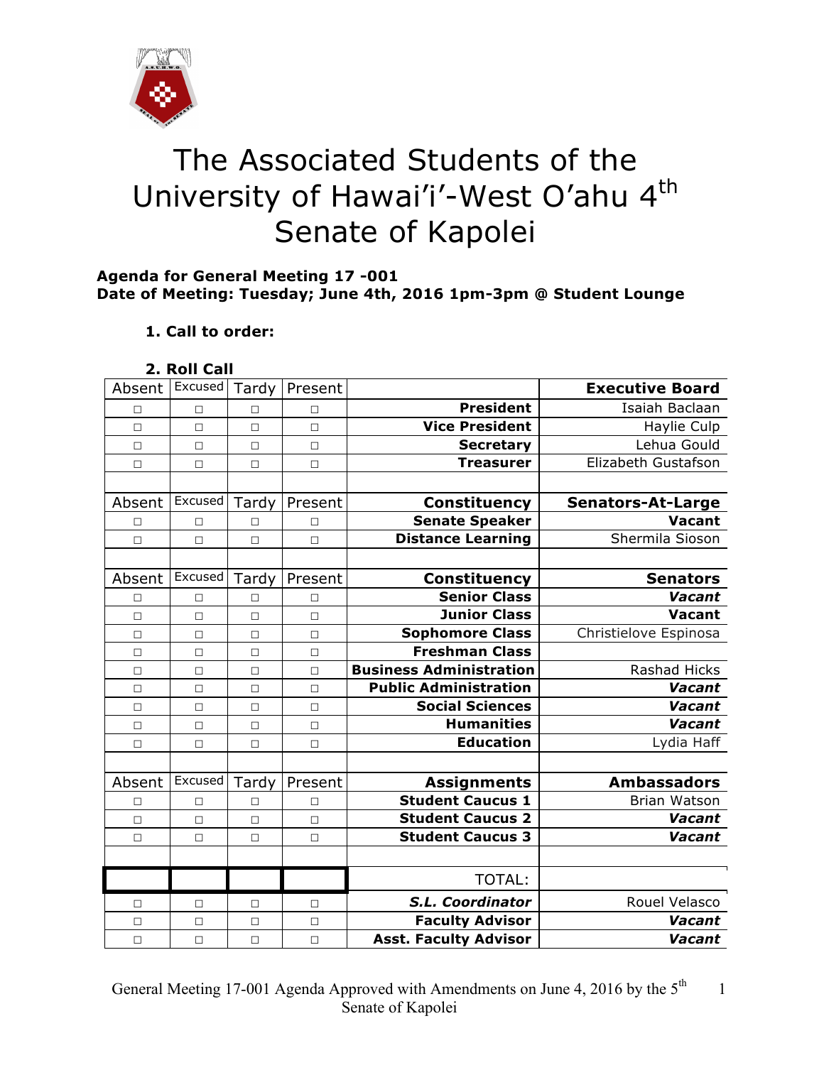

# The Associated Students of the University of Hawai'i'-West O'ahu 4<sup>th</sup> Senate of Kapolei

#### **Agenda for General Meeting 17 -001 Date of Meeting: Tuesday; June 4th, 2016 1pm-3pm @ Student Lounge**

## **1. Call to order:**

| 2. Roll Call |  |
|--------------|--|

| Absent | Excused        | Tardy  | Present |                                | <b>Executive Board</b>   |
|--------|----------------|--------|---------|--------------------------------|--------------------------|
| П      | $\Box$         | п      | П       | <b>President</b>               | Isaiah Baclaan           |
| $\Box$ | $\Box$         | $\Box$ | $\Box$  | <b>Vice President</b>          | Haylie Culp              |
| $\Box$ | $\Box$         | $\Box$ | $\Box$  | <b>Secretary</b>               | Lehua Gould              |
| $\Box$ | $\Box$         | $\Box$ | $\Box$  | <b>Treasurer</b>               | Elizabeth Gustafson      |
|        |                |        |         |                                |                          |
| Absent | Excused        | Tardy  | Present | Constituency                   | <b>Senators-At-Large</b> |
| П      | П              | П      | П       | <b>Senate Speaker</b>          | <b>Vacant</b>            |
| $\Box$ | $\Box$         | $\Box$ | $\Box$  | <b>Distance Learning</b>       | Shermila Sioson          |
|        |                |        |         |                                |                          |
| Absent | Excused        | Tardy  | Present | <b>Constituency</b>            | <b>Senators</b>          |
| П      | $\Box$         | П      | $\Box$  | <b>Senior Class</b>            | Vacant                   |
| П      | $\Box$         | $\Box$ | $\Box$  | <b>Junior Class</b>            | <b>Vacant</b>            |
| $\Box$ | $\Box$         | $\Box$ | $\Box$  | <b>Sophomore Class</b>         | Christielove Espinosa    |
| $\Box$ | $\Box$         | $\Box$ | $\Box$  | <b>Freshman Class</b>          |                          |
| $\Box$ | $\Box$         | $\Box$ | $\Box$  | <b>Business Administration</b> | <b>Rashad Hicks</b>      |
| $\Box$ | $\Box$         | $\Box$ | $\Box$  | <b>Public Administration</b>   | Vacant                   |
| $\Box$ | $\Box$         | $\Box$ | $\Box$  | <b>Social Sciences</b>         | Vacant                   |
| $\Box$ | $\Box$         | $\Box$ | $\Box$  | <b>Humanities</b>              | <b>Vacant</b>            |
| $\Box$ | $\Box$         | $\Box$ | $\Box$  | <b>Education</b>               | Lydia Haff               |
|        |                |        |         |                                |                          |
| Absent | <b>Excused</b> | Tardy  | Present | <b>Assignments</b>             | <b>Ambassadors</b>       |
| $\Box$ | $\Box$         | □      | $\Box$  | <b>Student Caucus 1</b>        | <b>Brian Watson</b>      |
| $\Box$ | $\Box$         | $\Box$ | $\Box$  | <b>Student Caucus 2</b>        | Vacant                   |
| $\Box$ | $\Box$         | $\Box$ | $\Box$  | <b>Student Caucus 3</b>        | Vacant                   |
|        |                |        |         |                                |                          |
|        |                |        |         | <b>TOTAL:</b>                  |                          |
| □      | $\Box$         | □      | $\Box$  | S.L. Coordinator               | Rouel Velasco            |
| $\Box$ | $\Box$         | $\Box$ | $\Box$  | <b>Faculty Advisor</b>         | Vacant                   |
| $\Box$ | $\Box$         | $\Box$ | $\Box$  | <b>Asst. Faculty Advisor</b>   | Vacant                   |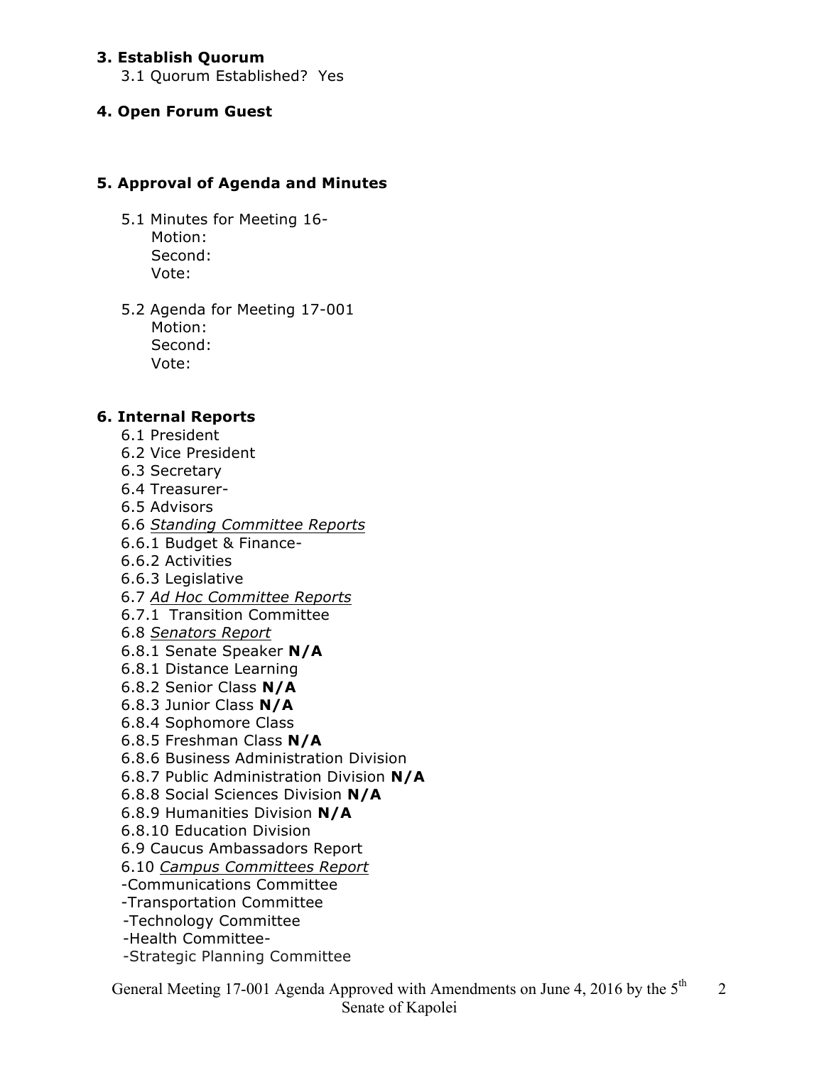#### **3. Establish Quorum**

3.1 Quorum Established? Yes

#### **4. Open Forum Guest**

## **5. Approval of Agenda and Minutes**

- 5.1 Minutes for Meeting 16- Motion: Second: Vote:
- 5.2 Agenda for Meeting 17-001 Motion: Second: Vote:

#### **6. Internal Reports**

- 6.1 President
- 6.2 Vice President
- 6.3 Secretary
- 6.4 Treasurer-
- 6.5 Advisors
- 6.6 *Standing Committee Reports*
- 6.6.1 Budget & Finance-
- 6.6.2 Activities
- 6.6.3 Legislative
- 6.7 *Ad Hoc Committee Reports*
- 6.7.1 Transition Committee
- 6.8 *Senators Report*
- 6.8.1 Senate Speaker **N/A**
- 6.8.1 Distance Learning
- 6.8.2 Senior Class **N/A**
- 6.8.3 Junior Class **N/A**
- 6.8.4 Sophomore Class
- 6.8.5 Freshman Class **N/A**
- 6.8.6 Business Administration Division
- 6.8.7 Public Administration Division **N/A**
- 6.8.8 Social Sciences Division **N/A**
- 6.8.9 Humanities Division **N/A**
- 6.8.10 Education Division
- 6.9 Caucus Ambassadors Report
- 6.10 *Campus Committees Report*
- -Communications Committee
- -Transportation Committee
- -Technology Committee
- -Health Committee-
- -Strategic Planning Committee